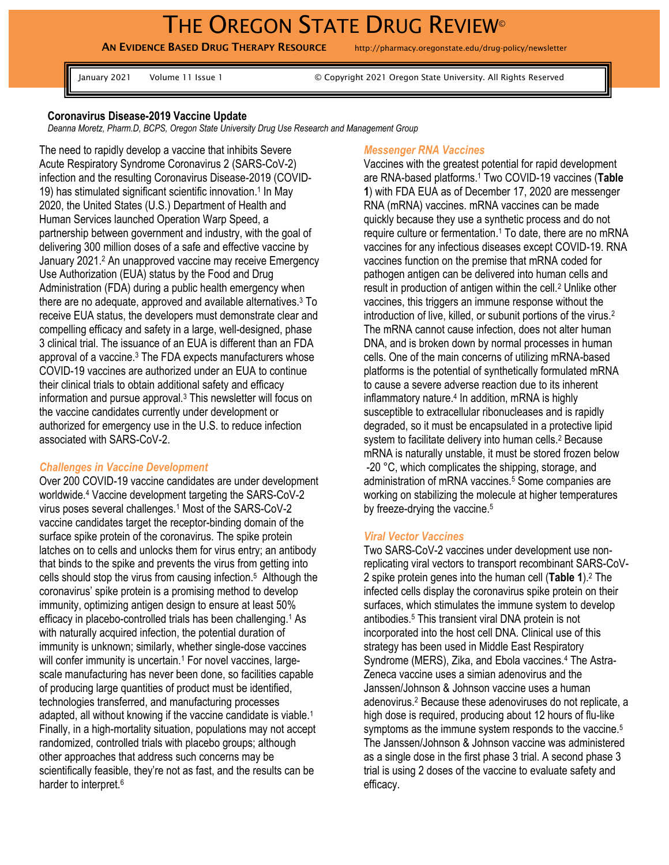# THE OREGON STATE DRUG REVIEW<sup>®</sup>

AN EVIDENCE BASED DRUG THERAPY RESOURCE http://pharmacy.oregonstate.edu/drug-policy/newsletter

January 2021 Volume 11 Issue 1 © Copyright 2021 Oregon State University. All Rights Reserved

## **Coronavirus Disease-2019 Vaccine Update**

*Deanna Moretz, Pharm.D, BCPS, Oregon State University Drug Use Research and Management Group* 

The need to rapidly develop a vaccine that inhibits Severe Acute Respiratory Syndrome Coronavirus 2 (SARS-CoV-2) infection and the resulting Coronavirus Disease-2019 (COVID-19) has stimulated significant scientific innovation.<sup>1</sup> In May 2020, the United States (U.S.) Department of Health and Human Services launched Operation Warp Speed, a partnership between government and industry, with the goal of delivering 300 million doses of a safe and effective vaccine by January 2021.<sup>2</sup> An unapproved vaccine may receive Emergency Use Authorization (EUA) status by the Food and Drug Administration (FDA) during a public health emergency when there are no adequate, approved and available alternatives.<sup>3</sup> To receive EUA status, the developers must demonstrate clear and compelling efficacy and safety in a large, well-designed, phase 3 clinical trial. The issuance of an EUA is different than an FDA approval of a vaccine. <sup>3</sup> The FDA expects manufacturers whose COVID-19 vaccines are authorized under an EUA to continue their clinical trials to obtain additional safety and efficacy information and pursue approval.<sup>3</sup> This newsletter will focus on the vaccine candidates currently under development or authorized for emergency use in the U.S. to reduce infection associated with SARS-CoV-2.

## *Challenges in Vaccine Development*

Over 200 COVID-19 vaccine candidates are under development worldwide.<sup>4</sup> Vaccine development targeting the SARS-CoV-2 virus poses several challenges.<sup>1</sup> Most of the SARS-CoV-2 vaccine candidates target the receptor-binding domain of the surface spike protein of the coronavirus. The spike protein latches on to cells and unlocks them for virus entry; an antibody that binds to the spike and prevents the virus from getting into cells should stop the virus from causing infection.<sup>5</sup> Although the coronavirus' spike protein is a promising method to develop immunity, optimizing antigen design to ensure at least 50% efficacy in placebo-controlled trials has been challenging.<sup>1</sup> As with naturally acquired infection, the potential duration of immunity is unknown; similarly, whether single-dose vaccines will confer immunity is uncertain.<sup>1</sup> For novel vaccines, largescale manufacturing has never been done, so facilities capable of producing large quantities of product must be identified, technologies transferred, and manufacturing processes adapted, all without knowing if the vaccine candidate is viable.<sup>1</sup> Finally, in a high-mortality situation, populations may not accept randomized, controlled trials with placebo groups; although other approaches that address such concerns may be scientifically feasible, they're not as fast, and the results can be harder to interpret.<sup>6</sup>

#### *Messenger RNA Vaccines*

Vaccines with the greatest potential for rapid development are RNA-based platforms.<sup>1</sup> Two COVID-19 vaccines (**Table 1**) with FDA EUA as of December 17, 2020 are messenger RNA (mRNA) vaccines. mRNA vaccines can be made quickly because they use a synthetic process and do not require culture or fermentation.<sup>1</sup> To date, there are no mRNA vaccines for any infectious diseases except COVID-19. RNA vaccines function on the premise that mRNA coded for pathogen antigen can be delivered into human cells and result in production of antigen within the cell.<sup>2</sup> Unlike other vaccines, this triggers an immune response without the introduction of live, killed, or subunit portions of the virus.<sup>2</sup> The mRNA cannot cause infection, does not alter human DNA, and is broken down by normal processes in human cells. One of the main concerns of utilizing mRNA-based platforms is the potential of synthetically formulated mRNA to cause a severe adverse reaction due to its inherent inflammatory nature.<sup>4</sup> In addition, mRNA is highly susceptible to extracellular ribonucleases and is rapidly degraded, so it must be encapsulated in a protective lipid system to facilitate delivery into human cells.<sup>2</sup> Because mRNA is naturally unstable, it must be stored frozen below -20 °C, which complicates the shipping, storage, and administration of mRNA vaccines.<sup>5</sup> Some companies are working on stabilizing the molecule at higher temperatures by freeze-drying the vaccine.<sup>5</sup>

#### *Viral Vector Vaccines*

Two SARS-CoV-2 vaccines under development use nonreplicating viral vectors to transport recombinant SARS-CoV-2 spike protein genes into the human cell (**Table 1**). <sup>2</sup> The infected cells display the coronavirus spike protein on their surfaces, which stimulates the immune system to develop antibodies.<sup>5</sup> This transient viral DNA protein is not incorporated into the host cell DNA. Clinical use of this strategy has been used in Middle East Respiratory Syndrome (MERS), Zika, and Ebola vaccines.<sup>4</sup> The Astra-Zeneca vaccine uses a simian adenovirus and the Janssen/Johnson & Johnson vaccine uses a human adenovirus.<sup>2</sup> Because these adenoviruses do not replicate, a high dose is required, producing about 12 hours of flu-like symptoms as the immune system responds to the vaccine.<sup>5</sup> The Janssen/Johnson & Johnson vaccine was administered as a single dose in the first phase 3 trial. A second phase 3 trial is using 2 doses of the vaccine to evaluate safety and efficacy.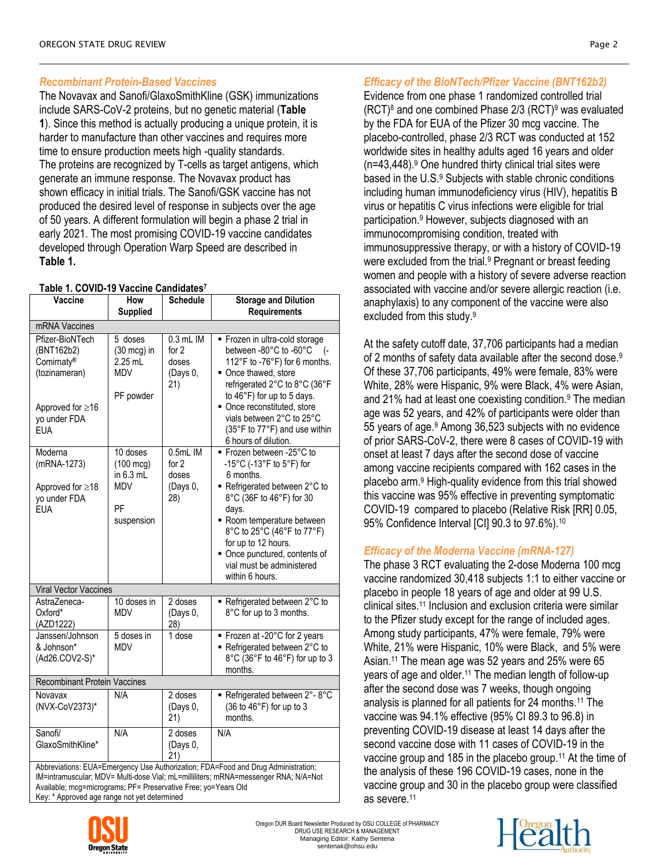# *Recombinant Protein-Based Vaccines*

The Novavax and Sanofi/GlaxoSmithKline (GSK) immunizations include SARS-CoV-2 proteins, but no genetic material (**Table 1**). Since this method is actually producing a unique protein, it is harder to manufacture than other vaccines and requires more time to ensure production meets high -quality standards. The proteins are recognized by T-cells as target antigens, which generate an immune response. The Novavax product has shown efficacy in initial trials. The Sanofi/GSK vaccine has not produced the desired level of response in subjects over the age of 50 years. A different formulation will begin a phase 2 trial in early 2021. The most promising COVID-19 vaccine candidates developed through Operation Warp Speed are described in **Table 1.**

## **Table 1. COVID-19 Vaccine Candidates<sup>7</sup>**

| .<br>Vaccine                                                                                                         | . .<br>$\sqrt{2}$<br>How                                                         | <b>Schedule</b>                                    | <b>Storage and Dilution</b>                                                                                                                                                                                                                                                                                            |  |
|----------------------------------------------------------------------------------------------------------------------|----------------------------------------------------------------------------------|----------------------------------------------------|------------------------------------------------------------------------------------------------------------------------------------------------------------------------------------------------------------------------------------------------------------------------------------------------------------------------|--|
|                                                                                                                      | <b>Supplied</b>                                                                  |                                                    | <b>Requirements</b>                                                                                                                                                                                                                                                                                                    |  |
| mRNA Vaccines                                                                                                        |                                                                                  |                                                    |                                                                                                                                                                                                                                                                                                                        |  |
| Pfizer-BioNTech<br>(BNT162b2)<br>Comirnaty®<br>(tozinameran)<br>Approved for $\geq 16$<br>yo under FDA<br><b>EUA</b> | 5 doses<br>$(30 \text{ mcg})$ in<br>2.25 mL<br><b>MDV</b><br>PF powder           | $0.3$ mL IM<br>for $2$<br>doses<br>(Days 0,<br>21) | Frozen in ultra-cold storage<br>between -80°C to -60°C<br>$\left( -\right)$<br>112°F to -76°F) for 6 months.<br>Once thawed, store<br>refrigerated 2°C to 8°C (36°F<br>to 46°F) for up to 5 days.<br>• Once reconstituted, store<br>vials between 2°C to 25°C<br>(35°F to 77°F) and use within<br>6 hours of dilution. |  |
| Moderna<br>(mRNA-1273)<br>Approved for ≥18<br>yo under FDA<br><b>EUA</b>                                             | 10 doses<br>$(100 \text{ mcg})$<br>in $6.3$ mL<br><b>MDV</b><br>PF<br>suspension | 0.5mL IM<br>for $2$<br>doses<br>(Days 0,<br>28)    | ■ Frozen between -25°C to<br>-15°C (-13°F to 5°F) for<br>6 months.<br>Refrigerated between 2°C to<br>8°C (36F to 46°F) for 30<br>days.<br>Room temperature between<br>8°C to 25°C (46°F to 77°F)<br>for up to 12 hours.<br>• Once punctured, contents of<br>vial must be administered<br>within 6 hours.               |  |
| Viral Vector Vaccines                                                                                                |                                                                                  |                                                    |                                                                                                                                                                                                                                                                                                                        |  |
| AstraZeneca-<br>Oxford*<br>(AZD1222)                                                                                 | 10 doses in<br><b>MDV</b>                                                        | 2 doses<br>(Days 0,<br>28)                         | Refrigerated between 2°C to<br>8°C for up to 3 months.                                                                                                                                                                                                                                                                 |  |
| Janssen/Johnson<br>& Johnson*<br>(Ad26.COV2-S)*                                                                      | 5 doses in<br><b>MDV</b>                                                         | $\overline{1}$ dose                                | ■ Frozen at -20°C for 2 years<br>■ Refrigerated between 2°C to<br>8°C (36°F to 46°F) for up to 3<br>months.                                                                                                                                                                                                            |  |
| <b>Recombinant Protein Vaccines</b>                                                                                  |                                                                                  |                                                    |                                                                                                                                                                                                                                                                                                                        |  |
| Novavax<br>(NVX-CoV2373)*                                                                                            | $N/\overline{A}$                                                                 | 2 doses<br>(Days 0,<br>21)                         | Refrigerated between 2°-8°C<br>(36 to 46°F) for up to 3<br>months.                                                                                                                                                                                                                                                     |  |
| Sanofi/<br>GlaxoSmithKline*                                                                                          | N/A                                                                              | 2 doses<br>(Days 0,<br>21)                         | N/A                                                                                                                                                                                                                                                                                                                    |  |
| Abbreviations: EUA=Emergency Use Authorization; FDA=Food and Drug Administration;                                    |                                                                                  |                                                    |                                                                                                                                                                                                                                                                                                                        |  |

IM=intramuscular; MDV= Multi-dose Vial; mL=milliliters; mRNA=messenger RNA; N/A=Not Available; mcg=micrograms; PF= Preservative Free; yo=Years Old Key: \* Approved age range not yet determined

Evidence from one phase 1 randomized controlled trial  $(RCT)^8$  and one combined Phase 2/3  $(RCT)^9$  was evaluated by the FDA for EUA of the Pfizer 30 mcg vaccine. The placebo-controlled, phase 2/3 RCT was conducted at 152 worldwide sites in healthy adults aged 16 years and older  $(n=43,448).$ <sup>9</sup> One hundred thirty clinical trial sites were based in the U.S.<sup>9</sup> Subjects with stable chronic conditions including human immunodeficiency virus (HIV), hepatitis B virus or hepatitis C virus infections were eligible for trial participation.<sup>9</sup> However, subjects diagnosed with an immunocompromising condition, treated with immunosuppressive therapy, or with a history of COVID-19 were excluded from the trial.<sup>9</sup> Pregnant or breast feeding women and people with a history of severe adverse reaction associated with vaccine and/or severe allergic reaction (i.e. anaphylaxis) to any component of the vaccine were also excluded from this study.<sup>9</sup>

At the safety cutoff date, 37,706 participants had a median of 2 months of safety data available after the second dose.<sup>9</sup> Of these 37,706 participants, 49% were female, 83% were White, 28% were Hispanic, 9% were Black, 4% were Asian, and 21% had at least one coexisting condition.<sup>9</sup> The median age was 52 years, and 42% of participants were older than 55 years of age. <sup>9</sup> Among 36,523 subjects with no evidence of prior SARS-CoV-2, there were 8 cases of COVID-19 with onset at least 7 days after the second dose of vaccine among vaccine recipients compared with 162 cases in the placebo arm.<sup>9</sup> High-quality evidence from this trial showed this vaccine was 95% effective in preventing symptomatic COVID-19 compared to placebo (Relative Risk [RR] 0.05, 95% Confidence Interval [CI] 90.3 to 97.6%).<sup>10</sup>

# *Efficacy of the Moderna Vaccine (mRNA-127)*

The phase 3 RCT evaluating the 2-dose Moderna 100 mcg vaccine randomized 30,418 subjects 1:1 to either vaccine or placebo in people 18 years of age and older at 99 U.S. clinical sites. <sup>11</sup> Inclusion and exclusion criteria were similar to the Pfizer study except for the range of included ages. Among study participants, 47% were female, 79% were White, 21% were Hispanic, 10% were Black, and 5% were Asian. <sup>11</sup> The mean age was 52 years and 25% were 65 years of age and older.<sup>11</sup> The median length of follow-up after the second dose was 7 weeks, though ongoing analysis is planned for all patients for 24 months.<sup>11</sup> The vaccine was 94.1% effective (95% CI 89.3 to 96.8) in preventing COVID-19 disease at least 14 days after the second vaccine dose with 11 cases of COVID-19 in the vaccine group and 185 in the placebo group.<sup>11</sup> At the time of the analysis of these 196 COVID-19 cases, none in the vaccine group and 30 in the placebo group were classified as severe.11

Oregon DUR Board Newsletter Produced by OSU COLLEGE of PHARMACY DRUG USE RESEARCH & MANAGEMENT Managing Editor: Kathy Sentena sentenak@ohsu.edu

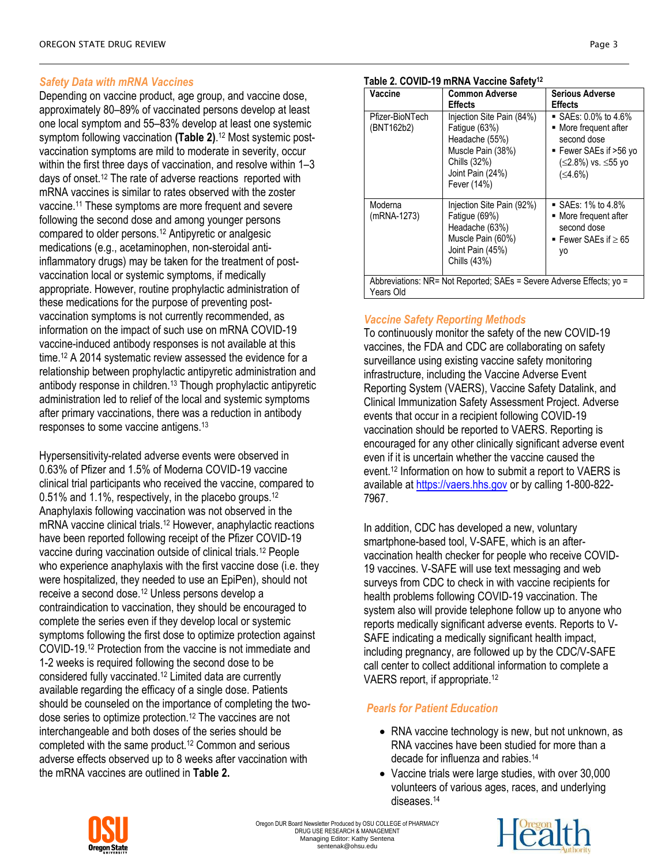# *Safety Data with mRNA Vaccines*

Depending on vaccine product, age group, and vaccine dose, approximately 80–89% of vaccinated persons develop at least one local symptom and 55–83% develop at least one systemic symptom following vaccination **(Table 2)**. <sup>12</sup> Most systemic postvaccination symptoms are mild to moderate in severity, occur within the first three days of vaccination, and resolve within 1–3 days of onset.<sup>12</sup> The rate of adverse reactions reported with mRNA vaccines is similar to rates observed with the zoster vaccine.<sup>11</sup> These symptoms are more frequent and severe following the second dose and among younger persons compared to older persons.<sup>12</sup> Antipyretic or analgesic medications (e.g., acetaminophen, non-steroidal antiinflammatory drugs) may be taken for the treatment of postvaccination local or systemic symptoms, if medically appropriate. However, routine prophylactic administration of these medications for the purpose of preventing postvaccination symptoms is not currently recommended, as information on the impact of such use on mRNA COVID-19 vaccine-induced antibody responses is not available at this time.<sup>12</sup> A 2014 systematic review assessed the evidence for a relationship between prophylactic antipyretic administration and antibody response in children.<sup>13</sup> Though prophylactic antipyretic administration led to relief of the local and systemic symptoms after primary vaccinations, there was a reduction in antibody responses to some vaccine antigens. 13

Hypersensitivity-related adverse events were observed in 0.63% of Pfizer and 1.5% of Moderna COVID-19 vaccine clinical trial participants who received the vaccine, compared to 0.51% and 1.1%, respectively, in the placebo groups.<sup>12</sup> Anaphylaxis following vaccination was not observed in the mRNA vaccine clinical trials.<sup>12</sup> However, anaphylactic reactions have been reported following receipt of the Pfizer COVID-19 vaccine during vaccination outside of clinical trials.<sup>12</sup> People who experience anaphylaxis with the first vaccine dose (i.e. they were hospitalized, they needed to use an EpiPen), should not receive a second dose.<sup>12</sup> Unless persons develop a contraindication to vaccination, they should be encouraged to complete the series even if they develop local or systemic symptoms following the first dose to optimize protection against COVID-19.<sup>12</sup> Protection from the vaccine is not immediate and 1-2 weeks is required following the second dose to be considered fully vaccinated.<sup>12</sup> Limited data are currently available regarding the efficacy of a single dose. Patients should be counseled on the importance of completing the twodose series to optimize protection.<sup>12</sup> The vaccines are not interchangeable and both doses of the series should be completed with the same product.<sup>12</sup> Common and serious adverse effects observed up to 8 weeks after vaccination with the mRNA vaccines are outlined in **Table 2.**

#### **Table 2. COVID-19 mRNA Vaccine Safety<sup>12</sup>**

| Vaccine                                                                           | <b>Common Adverse</b>                                                                                                                | <b>Serious Adverse</b>                                                                                                                       |  |  |
|-----------------------------------------------------------------------------------|--------------------------------------------------------------------------------------------------------------------------------------|----------------------------------------------------------------------------------------------------------------------------------------------|--|--|
|                                                                                   | <b>Effects</b>                                                                                                                       | <b>Effects</b>                                                                                                                               |  |  |
| Pfizer-BioNTech<br>(BNT162b2)                                                     | Injection Site Pain (84%)<br>Fatique (63%)<br>Headache (55%)<br>Muscle Pain (38%)<br>Chills (32%)<br>Joint Pain (24%)<br>Fever (14%) | $\blacksquare$ SAEs: 0.0% to 4.6%<br>• More frequent after<br>second dose<br>■ Fewer SAEs if >56 yo<br>(≤2.8%) vs. ≤55 yo<br>$( \leq 4.6\%)$ |  |  |
| Moderna<br>(mRNA-1273)                                                            | Injection Site Pain (92%)<br>Fatique (69%)<br>Headache (63%)<br>Muscle Pain (60%)<br>Joint Pain (45%)<br>Chills (43%)                | $\blacksquare$ SAEs: 1% to 4.8%<br>• More frequent after<br>second dose<br>■ Fewer SAEs if $\geq 65$<br>yo                                   |  |  |
| Abbreviations: NR= Not Reported: SAEs = Severe Adverse Effects: yo =<br>Years Old |                                                                                                                                      |                                                                                                                                              |  |  |

# *Vaccine Safety Reporting Methods*

To continuously monitor the safety of the new COVID-19 vaccines, the FDA and CDC are collaborating on safety surveillance using existing vaccine safety monitoring infrastructure, including the Vaccine Adverse Event Reporting System (VAERS), Vaccine Safety Datalink, and Clinical Immunization Safety Assessment Project. Adverse events that occur in a recipient following COVID-19 vaccination should be reported to VAERS. Reporting is encouraged for any other clinically significant adverse event even if it is uncertain whether the vaccine caused the event.<sup>12</sup> Information on how to submit a report to VAERS is available at [https://vaers.hhs.gov](https://vaers.hhs.gov/) or by calling 1-800-822- 7967.

In addition, CDC has developed a new, voluntary smartphone-based tool, V-SAFE, which is an aftervaccination health checker for people who receive COVID-19 vaccines. V-SAFE will use text messaging and web surveys from CDC to check in with vaccine recipients for health problems following COVID-19 vaccination. The system also will provide telephone follow up to anyone who reports medically significant adverse events. Reports to V-SAFE indicating a medically significant health impact, including pregnancy, are followed up by the CDC/V-SAFE call center to collect additional information to complete a VAERS report, if appropriate.<sup>12</sup>

# *Pearls for Patient Education*

- RNA vaccine technology is new, but not unknown, as RNA vaccines have been studied for more than a decade for influenza and rabies.<sup>14</sup>
- Vaccine trials were large studies, with over 30,000 volunteers of various ages, races, and underlying diseases.14



Oregon DUR Board Newsletter Produced by OSU COLLEGE of PHARMACY DRUG USE RESEARCH & MANAGEMENT Managing Editor: Kathy Sentena sentenak@ohsu.edu